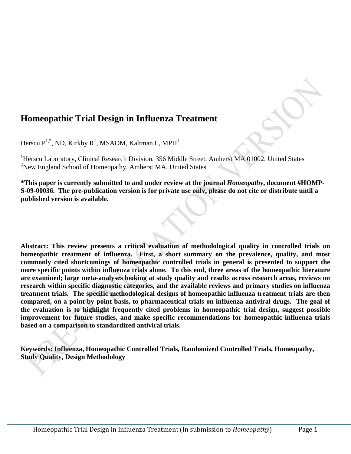# **Homeopathic Trial Design in Influenza Treatment**

Herscu  $P^{1,2}$ , ND, Kirkby R<sup>1</sup>, MSAOM, Kaltman L, MPH<sup>1</sup>.

<sup>1</sup>Herscu Laboratory, Clinical Research Division, 356 Middle Street, Amherst MA 01002, United States <sup>2</sup>New England School of Homeopathy, Amherst MA, United States

**\*This paper is currently submitted to and under review at the journal** *Homeopathy***, document #HOMP-S-09-00036. The pre-publication version is for private use only, please do not cite or distribute until a published version is available.** 

**Abstract: This review presents a critical evaluation of methodological quality in controlled trials on homeopathic treatment of influenza. First, a short summary on the prevalence, quality, and most commonly cited shortcomings of homeopathic controlled trials in general is presented to support the more specific points within influenza trials alone. To this end, three areas of the homeopathic literature are examined; large meta-analyses looking at study quality and results across research areas, reviews on research within specific diagnostic categories, and the available reviews and primary studies on influenza treatment trials. The specific methodological designs of homeopathic influenza treatment trials are then compared, on a point by point basis, to pharmaceutical trials on influenza antiviral drugs. The goal of the evaluation is to highlight frequently cited problems in homeopathic trial design, suggest possible improvement for future studies, and make specific recommendations for homeopathic influenza trials based on a comparison to standardized antiviral trials.**

**Keywords: Influenza, Homeopathic Controlled Trials, Randomized Controlled Trials, Homeopathy, Study Quality, Design Methodology**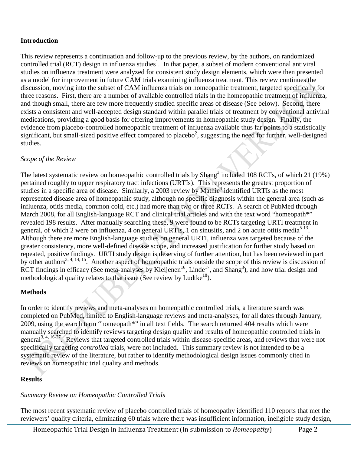## **Introduction**

This review represents a continuation and follow-up to the previous review, by the authors, on randomized controlled trial (RCT) design in influenza studies<sup>1</sup>. In that paper, a subset of modern conventional antiviral studies on influenza treatment were analyzed for consistent study design elements, which were then presented as a model for improvement in future CAM trials examining influenza treatment. This review continues the discussion, moving into the subset of CAM influenza trials on homeopathic treatment, targeted specifically for three reasons. First, there are a number of available controlled trials in the homeopathic treatment of influenza, and though small, there are few more frequently studied specific areas of disease (See below). Second, there exists a consistent and well-accepted design standard within parallel trials of treatment by conventional antiviral medications, providing a good basis for offering improvements in homeopathic study design. Finally, the evidence from placebo-controlled homeopathic treatment of influenza available thus far points to a statistically significant, but small-sized positive effect compared to placebo<sup>2</sup>, suggesting the need for further, well-designed studies.

## *Scope of the Review*

The latest systematic review on homeopathic controlled trials by Shang<sup>3</sup> included 108 RCTs, of which 21 (19%) pertained roughly to upper respiratory tract infections (URTIs). This represents the greatest proportion of studies in a specific area of disease. Similarly, a 2003 review by Mathie<sup>4</sup> identified URTIs as the most represented disease area of homeopathic study, although no specific diagnosis within the general area (such as influenza, otitis media, common cold, etc.) had more than two or three RCTs. A search of PubMed through March 2008, for all English-language RCT and clinical trial articles and with the text word "homeopath\*" revealed 198 results. After manually searching these, 9 were found to be RCTs targeting URTI treatment in general, of which 2 were on influenza, 4 on general URTIs, 1 on sinusitis, and 2 on acute otitis media<sup>5-13</sup>. Although there are more English-language studies on general URTI, influenza was targeted because of the greater consistency, more well-defined disease scope, and increased justification for further study based on repeated, positive findings. URTI study design is deserving of further attention, but has been reviewed in part by other authors<sup>3, 4, 14, 15</sup>. Another aspect of homeopathic trials outside the scope of this review is discussion of RCT findings in efficacy (See meta-analyses by Kleijenen<sup>16</sup>, Linde<sup>17</sup>, and Shang<sup>3</sup>), and how trial design and methodological quality relates to that issue (See review by Ludtke<sup>18</sup>).

## **Methods**

In order to identify reviews and meta-analyses on homeopathic controlled trials, a literature search was completed on PubMed, limited to English-language reviews and meta-analyses, for all dates through January, 2009, using the search term "homeopath\*" in all text fields. The search returned 404 results which were manually searched to identify reviews targeting design quality and results of homeopathic controlled trials in general<sup>3, 4, 16-27</sup>. Reviews that targeted controlled trials within disease-specific areas, and reviews that were not specifically targeting *controlled* trials, were not included. This summary review is not intended to be a systematic review of the literature, but rather to identify methodological design issues commonly cited in reviews on homeopathic trial quality and methods.

## **Results**

## *Summary Review on Homeopathic Controlled Trials*

The most recent systematic review of placebo controlled trials of homeopathy identified 110 reports that met the reviewers' quality criteria, eliminating 60 trials where there was insufficient information, ineligible study design,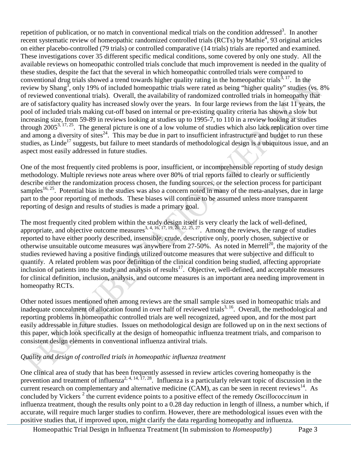repetition of publication, or no match in conventional medical trials on the condition addressed<sup>3</sup>. In another recent systematic review of homeopathic randomized controlled trials (RCTs) by Mathie<sup>4</sup>, 93 original articles on either placebo-controlled (79 trials) or controlled comparative (14 trials) trials are reported and examined. These investigations cover 35 different specific medical conditions, some covered by only one study. All the available reviews on homeopathic controlled trials conclude that much improvement is needed in the quality of these studies, despite the fact that the several in which homeopathic controlled trials were compared to conventional drug trials showed a trend towards higher quality rating in the homeopathic trials<sup>3, 17</sup>. In the review by Shang<sup>3</sup>, only 19% of included homeopathic trials were rated as being "higher quality" studies (vs. 8% of reviewed conventional trials). Overall, the availability of randomized controlled trials in homeopathy that are of satisfactory quality has increased slowly over the years. In four large reviews from the last 11 years, the pool of included trials making cut-off based on internal or pre-existing quality criteria has shown a slow but increasing size, from 59-89 in reviews looking at studies up to 1995-7, to 110 in a review looking at studies through  $2005^{3,17,25}$ . The general picture is one of a low volume of studies which also lack replication over time and among a diversity of sites<sup>24</sup>. This may be due in part to insufficient infrastructure and budget to run these studies, as Linde<sup>17</sup> suggests, but failure to meet standards of methodological design is a ubiquitous issue, and an aspect most easily addressed in future studies.

One of the most frequently cited problems is poor, insufficient, or incomprehensible reporting of study design methodology. Multiple reviews note areas where over 80% of trial reports failed to clearly or sufficiently describe either the randomization process chosen, the funding sources, or the selection process for participant samples<sup>16, 25</sup>. Potential bias in the studies was also a concern noted in many of the meta-analyses, due in large part to the poor reporting of methods. These biases will continue to be assumed unless more transparent reporting of design and results of studies is made a primary goal.

The most frequently cited problem within the study design itself is very clearly the lack of well-defined, appropriate, and objective outcome measures<sup>3, 4, 16, 17, 19, 20, 22, 25, 27</sup>. Among the reviews, the range of studies reported to have either poorly described, insensible, crude, descriptive only, poorly chosen, subjective or otherwise unsuitable outcome measures was anywhere from  $27-50\%$ . As noted in Merrell<sup>20</sup>, the majority of the studies reviewed having a positive findings utilized outcome measures that were subjective and difficult to quantify. A related problem was poor definition of the clinical condition being studied, affecting appropriate inclusion of patients into the study and analysis of results<sup>17</sup>. Objective, well-defined, and acceptable measures for clinical definition, inclusion, analysis, and outcome measures is an important area needing improvement in homeopathy RCTs.

Other noted issues mentioned often among reviews are the small sample sizes used in homeopathic trials and inadequate concealment of allocation found in over half of reviewed trials<sup>3, 16</sup>. Overall, the methodological and reporting problems in homeopathic controlled trials are well recognized, agreed upon, and for the most part easily addressable in future studies. Issues on methodological design are followed up on in the next sections of this paper, which look specifically at the design of homeopathic influenza treatment trials, and comparison to consistent design elements in conventional influenza antiviral trials.

## *Quality and design of controlled trials in homeopathic influenza treatment*

One clinical area of study that has been frequently assessed in review articles covering homeopathy is the prevention and treatment of influenza<sup>2, 4, 14, 17, 28</sup>. Influenza is a particularly relevant topic of discussion in the current research on complementary and alternative medicine (CAM), as can be seen in recent reviews<sup>14</sup>. As concluded by Vickers<sup>2</sup> the current evidence points to a positive effect of the remedy *Oscillococcinum* in influenza treatment, though the results only point to a 0.28 day reduction in length of illness, a number which, if accurate, will require much larger studies to confirm. However, there are methodological issues even with the positive studies that, if improved upon, might clarify the data regarding homeopathy and influenza.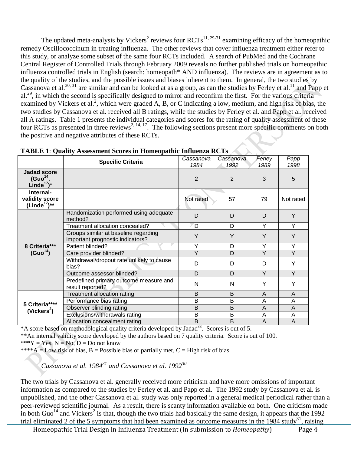The updated meta-analysis by Vickers<sup>2</sup> reviews four  $RCTs^{11, 29-31}$  examining efficacy of the homeopathic remedy Oscillococcinum in treating influenza. The other reviews that cover influenza treatment either refer to this study, or analyze some subset of the same four RCTs included. A search of PubMed and the Cochrane Central Register of Controlled Trials through February 2009 reveals no further published trials on homeopathic influenza controlled trials in English (search: homeopath\* AND influenza). The reviews are in agreement as to the quality of the studies, and the possible issues and biases inherent to them. In general, the two studies by Cassanova et al.<sup>30, 31</sup> are similar and can be looked at as a group, as can the studies by Ferley et al.<sup>11</sup> and Papp et al.<sup>29</sup>, in which the second is specifically designed to mirror and reconfirm the first. For the various criteria examined by Vickers et al.<sup>2</sup>, which were graded A, B, or C indicating a low, medium, and high risk of bias, the two studies by Cassanova et al. received all B ratings, while the studies by Ferley et al. and Papp et al. received all A ratings. Table 1 presents the individual categories and scores for the rating of quality assessment of these four RCTs as presented in three reviews<sup>2, 14, 17</sup>. The following sections present more specific comments on both the positive and negative attributes of these RCTs.

|                                                                      | <b>Specific Criteria</b>                                                 | Cassanova<br>1984 | Cassanova<br>1992 | Ferley<br>1989 | Papp<br>1998 |
|----------------------------------------------------------------------|--------------------------------------------------------------------------|-------------------|-------------------|----------------|--------------|
| <b>Jadad score</b><br>(Guo <sup>14</sup> )<br>Linde <sup>17</sup> )* |                                                                          | 2                 | 2                 | 3              | 5            |
| Internal-<br>validity score<br>$(Linde17)**$                         |                                                                          | Not rated         | 57                | 79             | Not rated    |
|                                                                      | Randomization performed using adequate<br>method?                        | D                 | D                 | D              | Y            |
|                                                                      | Treatment allocation concealed?                                          | D                 | D                 | Y              | Υ            |
|                                                                      | Groups similar at baseline regarding<br>important prognostic indicators? | Y                 | Y                 | Y              | Y            |
| 8 Criteria***                                                        | Patient blinded?                                                         | Y                 | D                 | Y              | Y            |
| (Guo <sup>14</sup> )                                                 | Care provider blinded?                                                   | Y                 | D                 | Y              | Y            |
|                                                                      | Withdrawal/dropout rate unlikely to cause<br>bias?                       | D                 | D                 | D              | Y            |
|                                                                      | Outcome assessor blinded?                                                | D                 | D                 | Y              | Y            |
|                                                                      | Predefined primary outcome measure and<br>result reported?               | N                 | N                 | Υ              | Y            |
|                                                                      | Treatment allocation rating                                              | B                 | B                 | A              | A            |
| 5 Criteria****<br>(Vickers <sup>2</sup> )                            | Performance bias rating                                                  | B                 | B                 | Α              | A            |
|                                                                      | Observer blinding rating                                                 | B                 | B                 | A              | A            |
|                                                                      | Exclusions/withdrawals rating                                            | B                 | B                 | A              | A            |
|                                                                      | Allocation concealment rating                                            | B                 | B                 | A              | A            |

|  | <b>TABLE 1: Quality Assessment Scores in Homeopathic Influenza RCTs</b> |  |
|--|-------------------------------------------------------------------------|--|
|--|-------------------------------------------------------------------------|--|

\*A score based on methodological quality criteria developed by Jadad<sup>33</sup>. Scores is out of 5.

\*\*An internal validity score developed by the authors based on 7 quality criteria. Score is out of 100.

\*\*\*Y = Yes,  $N = No$ ,  $D = Do$  not know

\*\*\*\*A = Low risk of bias, B = Possible bias or partially met, C = High risk of bias

*Cassanova et al. 1984<sup>31</sup> and Cassanova et al. 199230*

The two trials by Cassanova et al. generally received more criticism and have more omissions of important information as compared to the studies by Ferley et al. and Papp et al. The 1992 study by Cassanova et al. is unpublished, and the other Cassanova et al. study was only reported in a general medical periodical rather than a peer-reviewed scientific journal. As a result, there is scanty information available on both. One criticism made in both Guo<sup>14</sup> and Vickers<sup>2</sup> is that, though the two trials had basically the same design, it appears that the 1992 trial eliminated 2 of the 5 symptoms that had been examined as outcome measures in the  $1984$  study<sup>31</sup>, raising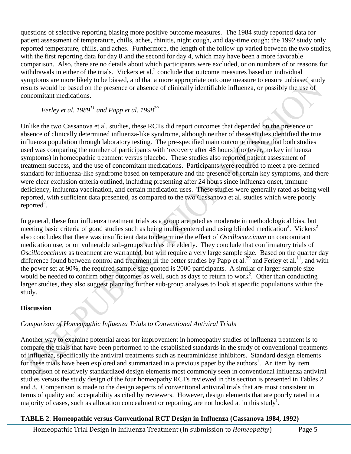questions of selective reporting biasing more positive outcome measures. The 1984 study reported data for patient assessment of temperature, chills, aches, rhinitis, night cough, and day-time cough; the 1992 study only reported temperature, chills, and aches. Furthermore, the length of the follow up varied between the two studies, with the first reporting data for day 8 and the second for day 4, which may have been a more favorable comparison. Also, there are no details about which participants were excluded, or on numbers of or reasons for withdrawals in either of the trials. Vickers et al.<sup>2</sup> conclude that outcome measures based on individual symptoms are more likely to be biased, and that a more appropriate outcome measure to ensure unbiased study results would be based on the presence or absence of clinically identifiable influenza, or possibly the use of concomitant medications.

# *Ferley et al. 198911 and Papp et al. 199829*

Unlike the two Cassanova et al. studies, these RCTs did report outcomes that depended on the presence or absence of clinically determined influenza-like syndrome, although neither of these studies identified the true influenza population through laboratory testing. The pre-specified main outcome measure that both studies used was comparing the number of participants with 'recovery after 48 hours' (no fever, no key influenza symptoms) in homeopathic treatment versus placebo. These studies also reported patient assessment of treatment success, and the use of concomitant medications. Participants were required to meet a pre-defined standard for influenza-like syndrome based on temperature and the presence of certain key symptoms, and there were clear exclusion criteria outlined, including presenting after 24 hours since influenza onset, immune deficiency, influenza vaccination, and certain medication uses. These studies were generally rated as being well reported, with sufficient data presented, as compared to the two Cassanova et al. studies which were poorly reported<sup>2</sup>.

In general, these four influenza treatment trials as a group are rated as moderate in methodological bias, but meeting basic criteria of good studies such as being multi-centered and using blinded medication<sup>2</sup>. Vickers<sup>2</sup> also concludes that there was insufficient data to determine the effect of *Oscillococcinum* on concomitant medication use, or on vulnerable sub-groups such as the elderly. They conclude that confirmatory trials of *Oscillococcinum* as treatment are warranted, but will require a very large sample size. Based on the quarter day difference found between control and treatment in the better studies by Papp et al.<sup>29</sup> and Ferley et al.<sup>11</sup>, and with the power set at 90%, the required sample size quoted is 2000 participants. A similar or larger sample size would be needed to confirm other outcomes as well, such as days to return to work<sup>2</sup>. Other than conducting larger studies, they also suggest planning further sub-group analyses to look at specific populations within the study.

## **Discussion**

## *Comparison of Homeopathic Influenza Trials to Conventional Antiviral Trials*

Another way to examine potential areas for improvement in homeopathy studies of influenza treatment is to compare the trials that have been performed to the established standards in the study of conventional treatments of influenza, specifically the antiviral treatments such as neuraminidase inhibitors. Standard design elements for these trials have been explored and summarized in a previous paper by the authors<sup>1</sup>. An item by item comparison of relatively standardized design elements most commonly seen in conventional influenza antiviral studies versus the study design of the four homeopathy RCTs reviewed in this section is presented in Tables 2 and 3. Comparison is made to the design aspects of conventional antiviral trials that are most consistent in terms of quality and acceptability as cited by reviewers. However, design elements that are poorly rated in a majority of cases, such as allocation concealment or reporting, are not looked at in this study<sup>1</sup>.

## **TABLE 2**: **Homeopathic versus Conventional RCT Design in Influenza (Cassanova 1984, 1992)**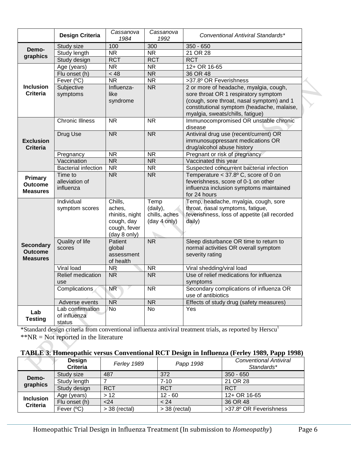|                                                       | <b>Design Criteria</b>                     | Cassanova<br>1984                                                                  | Cassanova<br>1992                                 | Conventional Antiviral Standards*                                                                                                                                                                             |
|-------------------------------------------------------|--------------------------------------------|------------------------------------------------------------------------------------|---------------------------------------------------|---------------------------------------------------------------------------------------------------------------------------------------------------------------------------------------------------------------|
| Demo-                                                 | Study size                                 | 100                                                                                | 300                                               | $350 - 650$                                                                                                                                                                                                   |
| graphics                                              | Study length                               | $\overline{\text{NR}}$                                                             | $\overline{\text{NR}}$                            | 21 OR 28                                                                                                                                                                                                      |
|                                                       | Study design                               | <b>RCT</b>                                                                         | <b>RCT</b>                                        | <b>RCT</b>                                                                                                                                                                                                    |
|                                                       | Age (years)                                | <b>NR</b>                                                                          | <b>NR</b>                                         | 12+ OR 16-65                                                                                                                                                                                                  |
|                                                       | Flu onset (h)                              | < 48                                                                               | $\overline{\text{NR}}$                            | 36 OR 48                                                                                                                                                                                                      |
|                                                       | Fever (°C)                                 | $\overline{\text{NR}}$                                                             | $\overline{\text{NR}}$                            | >37.8º OR Feverishness                                                                                                                                                                                        |
| <b>Inclusion</b><br>Criteria                          | Subjective<br>symptoms                     | Influenza-<br>like<br>syndrome                                                     | $\overline{\text{NR}}$                            | 2 or more of headache, myalgia, cough,<br>sore throat OR 1 respiratory symptom<br>(cough, sore throat, nasal symptom) and 1<br>constitutional symptom (headache, malaise,<br>myalgia, sweats/chills, fatigue) |
| <b>Exclusion</b><br><b>Criteria</b>                   | <b>Chronic Illness</b>                     | <b>NR</b>                                                                          | <b>NR</b>                                         | Immunocompromised OR unstable chronic<br>disease                                                                                                                                                              |
|                                                       | <b>Drug Use</b>                            | $\overline{\text{NR}}$                                                             | $\overline{\text{NR}}$                            | Antiviral drug use (recent/current) OR<br>immunosuppressant medications OR<br>drug/alcohol abuse history                                                                                                      |
|                                                       | Pregnancy                                  | <b>NR</b>                                                                          | <b>NR</b>                                         | Pregnant or risk of pregnancy                                                                                                                                                                                 |
|                                                       | Vaccination                                | <b>NR</b>                                                                          | <b>NR</b>                                         | Vaccinated this year                                                                                                                                                                                          |
|                                                       | <b>Bacterial infection</b>                 | <b>NR</b>                                                                          | <b>NR</b>                                         | Suspected concurrent bacterial infection                                                                                                                                                                      |
| Primary<br><b>Outcome</b><br><b>Measures</b>          | Time to<br>alleviation of<br>influenza     | <b>NR</b>                                                                          | <b>NR</b>                                         | Temperature < 37.8° C, score of 0 on<br>feverishness, score of 0-1 on other<br>influenza inclusion symptoms maintained<br>for 24 hours                                                                        |
|                                                       | Individual<br>symptom scores               | Chills,<br>aches,<br>rhinitis, night<br>cough, day<br>cough, fever<br>(day 8 only) | Temp<br>(daily),<br>chills, aches<br>(day 4 only) | Temp, headache, myalgia, cough, sore<br>throat, nasal symptoms, fatigue,<br>feverishness, loss of appetite (all recorded<br>daily)                                                                            |
| <b>Secondary</b><br><b>Outcome</b><br><b>Measures</b> | <b>Quality of life</b><br>scores           | Patient<br>global<br>assessment<br>of health                                       | $\overline{\text{NR}}$                            | Sleep disturbance OR time to return to<br>normal activities OR overall symptom<br>severity rating                                                                                                             |
|                                                       | Viral load                                 | NR                                                                                 | <b>NR</b>                                         | Viral shedding/viral load                                                                                                                                                                                     |
|                                                       | Relief medication<br>use                   | $\overline{\text{NR}}$                                                             | $\overline{\text{NR}}$                            | Use of relief medications for influenza<br>symptoms                                                                                                                                                           |
|                                                       | Complications                              | $\overline{\text{NR}}$                                                             | <b>NR</b>                                         | Secondary complications of influenza OR<br>use of antibiotics                                                                                                                                                 |
|                                                       | Adverse events                             | NR                                                                                 | $\overline{\mathsf{NR}}$                          | Effects of study drug (safety measures)                                                                                                                                                                       |
| Lab<br><b>Testing</b>                                 | Lab confirmation<br>of influenza<br>status | $\overline{N}$                                                                     | <b>No</b>                                         | Yes                                                                                                                                                                                                           |

\*Standard design criteria from conventional influenza antiviral treatment trials, as reported by Herscu<sup>1</sup>  $*NR = Not reported in the literature$ 

#### **TABLE 3**: **Homeopathic versus Conventional RCT Design in Influenza (Ferley 1989, Papp 1998)**

|                                     | <b>Design</b><br><b>Criteria</b> | Ferley 1989     | Papp 1998       | <b>Conventional Antiviral</b><br>Standards* |
|-------------------------------------|----------------------------------|-----------------|-----------------|---------------------------------------------|
| Demo-<br>graphics                   | Study size                       | 487             | 372             | $350 - 650$                                 |
|                                     | Study length                     |                 | $7 - 10$        | 21 OR 28                                    |
|                                     | Study design                     | <b>RCT</b>      | <b>RCT</b>      | <b>RCT</b>                                  |
| <b>Inclusion</b><br><b>Criteria</b> | Age (years)                      | >12             | $12 - 60$       | 12+ OR 16-65                                |
|                                     | Flu onset (h)                    | < 24            | < 24            | 36 OR 48                                    |
|                                     | Fever $(^{\circ}C)$              | $>$ 38 (rectal) | $>$ 38 (rectal) | >37.8º OR Feverishness                      |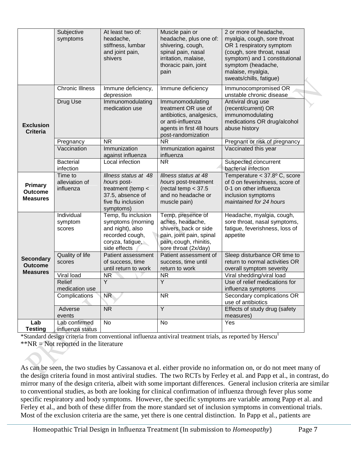|                                                     | Subjective<br>symptoms                       | At least two of:<br>headache,<br>stiffness, lumbar<br>and joint pain,<br>shivers                                    | Muscle pain or<br>headache, plus one of:<br>shivering, cough,<br>spinal pain, nasal<br>irritation, malaise,<br>thoracic pain, joint<br>pain                     | 2 or more of headache,<br>myalgia, cough, sore throat<br>OR 1 respiratory symptom<br>(cough, sore throat, nasal<br>symptom) and 1 constitutional<br>symptom (headache,<br>malaise, myalgia,<br>sweats/chills, fatigue) |  |
|-----------------------------------------------------|----------------------------------------------|---------------------------------------------------------------------------------------------------------------------|-----------------------------------------------------------------------------------------------------------------------------------------------------------------|------------------------------------------------------------------------------------------------------------------------------------------------------------------------------------------------------------------------|--|
| <b>Exclusion</b><br><b>Criteria</b>                 | <b>Chronic Illness</b><br>Drug Use           | Immune deficiency,<br>depression<br>Immunomodulating<br>medication use                                              | Immune deficiency<br>Immunomodulating<br>treatment OR use of<br>antibiotics, analgesics,<br>or anti-influenza<br>agents in first 48 hours<br>post-randomization | Immunocompromised OR<br>unstable chronic disease<br>Antiviral drug use<br>(recent/current) OR<br>immunomodulating<br>medications OR drug/alcohol<br>abuse history                                                      |  |
|                                                     | Pregnancy<br>Vaccination<br><b>Bacterial</b> | <b>NR</b><br>Immunization<br>against influenza<br>Local infection                                                   | <b>NR</b><br>Immunization against<br>influenza<br><b>NR</b>                                                                                                     | Pregnant or risk of pregnancy<br>Vaccinated this year<br>Suspected concurrent                                                                                                                                          |  |
|                                                     | infection                                    |                                                                                                                     |                                                                                                                                                                 | bacterial infection                                                                                                                                                                                                    |  |
| <b>Primary</b><br><b>Outcome</b><br><b>Measures</b> | Time to<br>alleviation of<br>influenza       | Illness status at 48<br>hours post-<br>treatment (temp <<br>37.5, absence of<br>five flu inclusion<br>symptoms)     | Illness status at 48<br>hours post-treatment<br>(rectal temp $< 37.5$<br>and no headache or<br>muscle pain)                                                     | Temperature $<$ 37.8 $\degree$ C, score<br>of 0 on feverishness, score of<br>0-1 on other influenza<br>inclusion symptoms<br>maintained for 24 hours                                                                   |  |
|                                                     | Individual<br>symptom<br>scores              | Temp, flu inclusion<br>symptoms (morning<br>and night), also<br>recorded cough,<br>coryza, fatigue,<br>side effects | Temp, presence of<br>aches, headache,<br>shivers, back or side<br>pain, joint pain, spinal<br>pain, cough, rhinitis,<br>sore throat (2x/day)                    | Headache, myalgia, cough,<br>sore throat, nasal symptoms,<br>fatigue, feverishness, loss of<br>appetite                                                                                                                |  |
| <b>Secondary</b><br><b>Outcome</b>                  | Quality of life<br>scores                    | Patient assessment<br>of success, time<br>until return to work                                                      | Patient assessment of<br>success, time until<br>return to work                                                                                                  | Sleep disturbance OR time to<br>return to normal activities OR<br>overall symptom severity                                                                                                                             |  |
| <b>Measures</b>                                     | Viral load                                   | NR <sup>1</sup>                                                                                                     | <b>NR</b>                                                                                                                                                       | Viral shedding/viral load                                                                                                                                                                                              |  |
|                                                     | Relief<br>medication use                     | Y                                                                                                                   | Y                                                                                                                                                               | Use of relief medications for<br>influenza symptoms                                                                                                                                                                    |  |
|                                                     | Complications                                | NR <sup>1</sup>                                                                                                     | <b>NR</b>                                                                                                                                                       | Secondary complications OR<br>use of antibiotics                                                                                                                                                                       |  |
|                                                     | Adverse<br>events                            | <b>NR</b>                                                                                                           | $\overline{Y}$                                                                                                                                                  | Effects of study drug (safety<br>measures)                                                                                                                                                                             |  |
| Lab<br><b>Testing</b>                               | Lab confirmed<br>influenza status            | No                                                                                                                  | No                                                                                                                                                              | Yes                                                                                                                                                                                                                    |  |

\*Standard design criteria from conventional influenza antiviral treatment trials, as reported by Herscu<sup>1</sup> \*\*NR = Not reported in the literature

As can be seen, the two studies by Cassanova et al. either provide no information on, or do not meet many of the design criteria found in most antiviral studies. The two RCTs by Ferley et al. and Papp et al., in contrast, do mirror many of the design criteria, albeit with some important differences. General inclusion criteria are similar to conventional studies, as both are looking for clinical confirmation of influenza through fever plus some specific respiratory and body symptoms. However, the specific symptoms are variable among Papp et al. and Ferley et al., and both of these differ from the more standard set of inclusion symptoms in conventional trials. Most of the exclusion criteria are the same, yet there is one central distinction. In Papp et al., patients are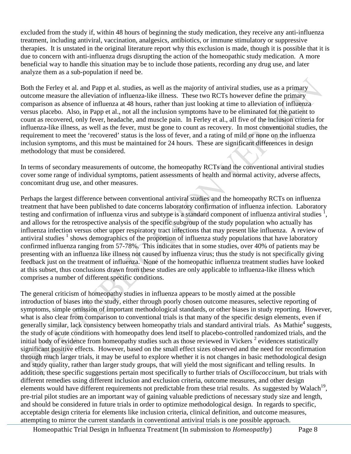excluded from the study if, within 48 hours of beginning the study medication, they receive any anti-influenza treatment, including antiviral, vaccination, analgesics, antibiotics, or immune stimulatory or suppressive therapies. It is unstated in the original literature report why this exclusion is made, though it is possible that it is due to concern with anti-influenza drugs disrupting the action of the homeopathic study medication. A more beneficial way to handle this situation may be to include those patients, recording any drug use, and later analyze them as a sub-population if need be.

Both the Ferley et al. and Papp et al. studies, as well as the majority of antiviral studies, use as a primary outcome measure the alleviation of influenza-like illness. These two RCTs however define the primary comparison as absence of influenza at 48 hours, rather than just looking at time to alleviation of influenza versus placebo. Also, in Papp et al., not all the inclusion symptoms have to be eliminated for the patient to count as recovered, only fever, headache, and muscle pain. In Ferley et al., all five of the inclusion criteria for influenza-like illness, as well as the fever, must be gone to count as recovery. In most conventional studies, the requirement to meet the 'recovered' status is the loss of fever, and a rating of mild or none on the influenza inclusion symptoms, and this must be maintained for 24 hours. These are significant differences in design methodology that must be considered.

In terms of secondary measurements of outcome, the homeopathy RCTs and the conventional antiviral studies cover some range of individual symptoms, patient assessments of health and normal activity, adverse affects, concomitant drug use, and other measures.

Perhaps the largest difference between conventional antiviral studies and the homeopathy RCTs on influenza treatment that have been published to date concerns laboratory confirmation of influenza infection. Laboratory testing and confirmation of influenza virus and subtype is a standard component of influenza antiviral studies  $\frac{1}{2}$ , and allows for the retrospective analysis of the specific subgroup of the study population who actually has influenza infection versus other upper respiratory tract infections that may present like influenza. A review of antiviral studies  $1$  shows demographics of the proportion of influenza study populations that have laboratory confirmed influenza ranging from 57-78%. This indicates that in some studies, over 40% of patients may be presenting with an influenza like illness not caused by influenza virus; thus the study is not specifically giving feedback just on the treatment of influenza. None of the homeopathic influenza treatment studies have looked at this subset, thus conclusions drawn from these studies are only applicable to influenza-like illness which comprises a number of different specific conditions.

The general criticism of homeopathy studies in influenza appears to be mostly aimed at the possible introduction of biases into the study, either through poorly chosen outcome measures, selective reporting of symptoms, simple omission of important methodological standards, or other biases in study reporting. However, what is also clear from comparison to conventional trials is that many of the specific design elements, even if generally similar, lack consistency between homeopathy trials and standard antiviral trials. As Mathie<sup>4</sup> suggests, the study of acute conditions with homeopathy does lend itself to placebo-controlled randomized trials, and the initial body of evidence from homeopathy studies such as those reviewed in Vickers  $2$  evidences statistically significant positive effects. However, based on the small effect sizes observed and the need for reconfirmation through much larger trials, it may be useful to explore whether it is not changes in basic methodological design and study quality, rather than larger study groups, that will yield the most significant and telling results. In addition, these specific suggestions pertain most specifically to further trials of *Oscillococcinum*, but trials with different remedies using different inclusion and exclusion criteria, outcome measures, and other design elements would have different requirements not predictable from these trial results. As suggested by Walach<sup>19</sup>, pre-trial pilot studies are an important way of gaining valuable predictions of necessary study size and length, and should be considered in future trials in order to optimize methodological design. In regards to specific, acceptable design criteria for elements like inclusion criteria, clinical definition, and outcome measures, attempting to mirror the current standards in conventional antiviral trials is one possible approach.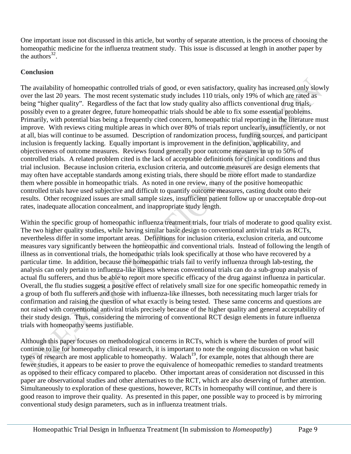One important issue not discussed in this article, but worthy of separate attention, is the process of choosing the homeopathic medicine for the influenza treatment study. This issue is discussed at length in another paper by the authors $32$ .

#### **Conclusion**

The availability of homeopathic controlled trials of good, or even satisfactory, quality has increased only slowly over the last 20 years. The most recent systematic study includes 110 trials, only 19% of which are rated as being "higher quality". Regardless of the fact that low study quality also afflicts conventional drug trials, possibly even to a greater degree, future homeopathic trials should be able to fix some essential problems. Primarily, with potential bias being a frequently cited concern, homeopathic trial reporting in the literature must improve. With reviews citing multiple areas in which over 80% of trials report unclearly, insufficiently, or not at all, bias will continue to be assumed. Description of randomization process, funding sources, and participant inclusion is frequently lacking. Equally important is improvement in the definition, applicability, and objectiveness of outcome measures. Reviews found generally poor outcome measures in up to 50% of controlled trials. A related problem cited is the lack of acceptable definitions for clinical conditions and thus trial inclusion. Because inclusion criteria, exclusion criteria, and outcome measures are design elements that may often have acceptable standards among existing trials, there should be more effort made to standardize them where possible in homeopathic trials. As noted in one review, many of the positive homeopathic controlled trials have used subjective and difficult to quantify outcome measures, casting doubt onto their results. Other recognized issues are small sample sizes, insufficient patient follow up or unacceptable drop-out rates, inadequate allocation concealment, and inappropriate study length.

Within the specific group of homeopathic influenza treatment trials, four trials of moderate to good quality exist. The two higher quality studies, while having similar basic design to conventional antiviral trials as RCTs, nevertheless differ in some important areas. Definitions for inclusion criteria, exclusion criteria, and outcome measures vary significantly between the homeopathic and conventional trials. Instead of following the length of illness as in conventional trials, the homeopathic trials look specifically at those who have recovered by a particular time. In addition, because the homeopathic trials fail to verify influenza through lab-testing, the analysis can only pertain to influenza-like illness whereas conventional trials can do a sub-group analysis of actual flu sufferers, and thus be able to report more specific efficacy of the drug against influenza in particular. Overall, the flu studies suggest a positive effect of relatively small size for one specific homeopathic remedy in a group of both flu sufferers and those with influenza-like illnesses, both necessitating much larger trials for confirmation and raising the question of what exactly is being tested. These same concerns and questions are not raised with conventional antiviral trials precisely because of the higher quality and general acceptability of their study design. Thus, considering the mirroring of conventional RCT design elements in future influenza trials with homeopathy seems justifiable.

Although this paper focuses on methodological concerns in RCTs, which is where the burden of proof will continue to lie for homeopathy clinical research, it is important to note the ongoing discussion on what basic types of research are most applicable to homeopathy. Walach<sup>19</sup>, for example, notes that although there are fewer studies, it appears to be easier to prove the equivalence of homeopathic remedies to standard treatments as opposed to their efficacy compared to placebo. Other important areas of consideration not discussed in this paper are observational studies and other alternatives to the RCT, which are also deserving of further attention. Simultaneously to exploration of these questions, however, RCTs in homeopathy will continue, and there is good reason to improve their quality. As presented in this paper, one possible way to proceed is by mirroring conventional study design parameters, such as in influenza treatment trials.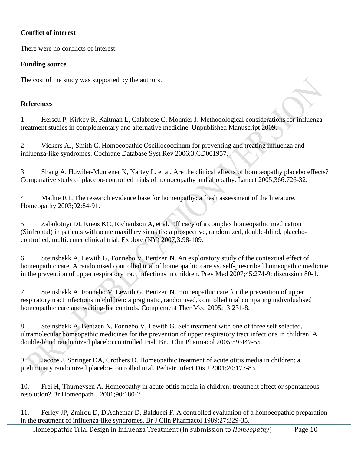#### **Conflict of interest**

There were no conflicts of interest.

#### **Funding source**

The cost of the study was supported by the authors.

#### **References**

1. Herscu P, Kirkby R, Kaltman L, Calabrese C, Monnier J. Methodological considerations for influenza treatment studies in complementary and alternative medicine. Unpublished Manuscript 2009.

2. Vickers AJ, Smith C. Homoeopathic Oscillococcinum for preventing and treating influenza and influenza-like syndromes. Cochrane Database Syst Rev 2006;3:CD001957.

3. Shang A, Huwiler-Muntener K, Nartey L, et al. Are the clinical effects of homoeopathy placebo effects? Comparative study of placebo-controlled trials of homoeopathy and allopathy. Lancet 2005;366:726-32.

4. Mathie RT. The research evidence base for homeopathy: a fresh assessment of the literature. Homeopathy 2003;92:84-91.

5. Zabolotnyi DI, Kneis KC, Richardson A, et al. Efficacy of a complex homeopathic medication (Sinfrontal) in patients with acute maxillary sinusitis: a prospective, randomized, double-blind, placebocontrolled, multicenter clinical trial. Explore (NY) 2007;3:98-109.

6. Steinsbekk A, Lewith G, Fonnebo V, Bentzen N. An exploratory study of the contextual effect of homeopathic care. A randomised controlled trial of homeopathic care vs. self-prescribed homeopathic medicine in the prevention of upper respiratory tract infections in children. Prev Med 2007;45:274-9; discussion 80-1.

7. Steinsbekk A, Fonnebo V, Lewith G, Bentzen N. Homeopathic care for the prevention of upper respiratory tract infections in children: a pragmatic, randomised, controlled trial comparing individualised homeopathic care and waiting-list controls. Complement Ther Med 2005;13:231-8.

8. Steinsbekk A, Bentzen N, Fonnebo V, Lewith G. Self treatment with one of three self selected, ultramolecular homeopathic medicines for the prevention of upper respiratory tract infections in children. A double-blind randomized placebo controlled trial. Br J Clin Pharmacol 2005;59:447-55.

9. Jacobs J, Springer DA, Crothers D. Homeopathic treatment of acute otitis media in children: a preliminary randomized placebo-controlled trial. Pediatr Infect Dis J 2001;20:177-83.

10. Frei H, Thurneysen A. Homeopathy in acute otitis media in children: treatment effect or spontaneous resolution? Br Homeopath J 2001;90:180-2.

11. Ferley JP, Zmirou D, D'Adhemar D, Balducci F. A controlled evaluation of a homoeopathic preparation in the treatment of influenza-like syndromes. Br J Clin Pharmacol 1989;27:329-35.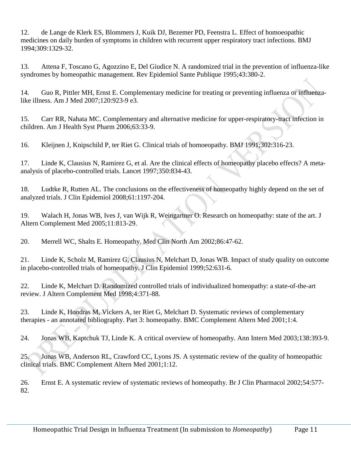12. de Lange de Klerk ES, Blommers J, Kuik DJ, Bezemer PD, Feenstra L. Effect of homoeopathic medicines on daily burden of symptoms in children with recurrent upper respiratory tract infections. BMJ 1994;309:1329-32.

13. Attena F, Toscano G, Agozzino E, Del Giudice N. A randomized trial in the prevention of influenza-like syndromes by homeopathic management. Rev Epidemiol Sante Publique 1995;43:380-2.

14. Guo R, Pittler MH, Ernst E. Complementary medicine for treating or preventing influenza or influenzalike illness. Am J Med 2007;120:923-9 e3.

15. Carr RR, Nahata MC. Complementary and alternative medicine for upper-respiratory-tract infection in children. Am J Health Syst Pharm 2006;63:33-9.

16. Kleijnen J, Knipschild P, ter Riet G. Clinical trials of homoeopathy. BMJ 1991;302:316-23.

17. Linde K, Clausius N, Ramirez G, et al. Are the clinical effects of homeopathy placebo effects? A metaanalysis of placebo-controlled trials. Lancet 1997;350:834-43.

18. Ludtke R, Rutten AL. The conclusions on the effectiveness of homeopathy highly depend on the set of analyzed trials. J Clin Epidemiol 2008;61:1197-204.

19. Walach H, Jonas WB, Ives J, van Wijk R, Weingartner O. Research on homeopathy: state of the art. J Altern Complement Med 2005;11:813-29.

20. Merrell WC, Shalts E. Homeopathy. Med Clin North Am 2002;86:47-62.

21. Linde K, Scholz M, Ramirez G, Clausius N, Melchart D, Jonas WB. Impact of study quality on outcome in placebo-controlled trials of homeopathy. J Clin Epidemiol 1999;52:631-6.

22. Linde K, Melchart D. Randomized controlled trials of individualized homeopathy: a state-of-the-art review. J Altern Complement Med 1998;4:371-88.

23. Linde K, Hondras M, Vickers A, ter Riet G, Melchart D. Systematic reviews of complementary therapies - an annotated bibliography. Part 3: homeopathy. BMC Complement Altern Med 2001;1:4.

24. Jonas WB, Kaptchuk TJ, Linde K. A critical overview of homeopathy. Ann Intern Med 2003;138:393-9.

25. Jonas WB, Anderson RL, Crawford CC, Lyons JS. A systematic review of the quality of homeopathic clinical trials. BMC Complement Altern Med 2001;1:12.

26. Ernst E. A systematic review of systematic reviews of homeopathy. Br J Clin Pharmacol 2002;54:577- 82.